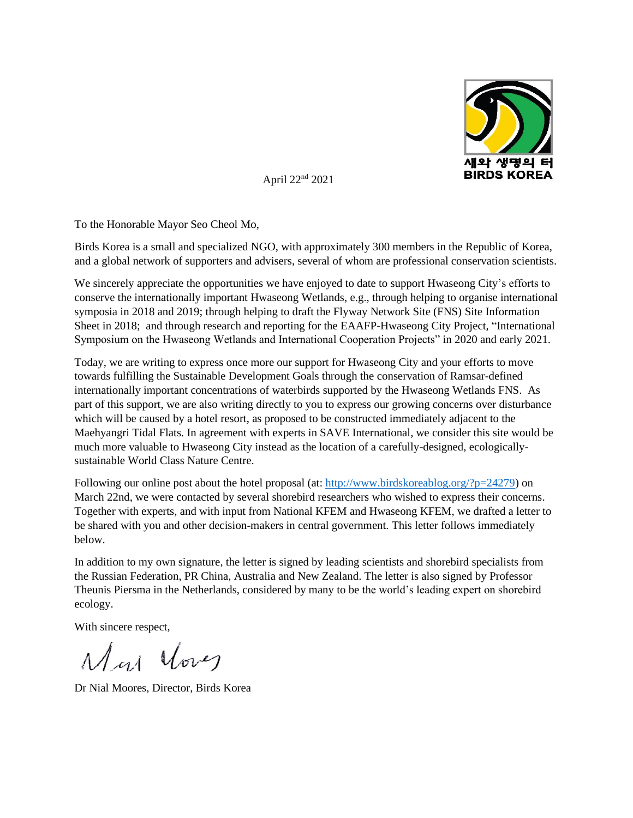

April 22nd 2021

To the Honorable Mayor Seo Cheol Mo,

Birds Korea is a small and specialized NGO, with approximately 300 members in the Republic of Korea, and a global network of supporters and advisers, several of whom are professional conservation scientists.

We sincerely appreciate the opportunities we have enjoyed to date to support Hwaseong City's efforts to conserve the internationally important Hwaseong Wetlands, e.g., through helping to organise international symposia in 2018 and 2019; through helping to draft the Flyway Network Site (FNS) Site Information Sheet in 2018; and through research and reporting for the EAAFP-Hwaseong City Project, "International Symposium on the Hwaseong Wetlands and International Cooperation Projects" in 2020 and early 2021.

Today, we are writing to express once more our support for Hwaseong City and your efforts to move towards fulfilling the Sustainable Development Goals through the conservation of Ramsar-defined internationally important concentrations of waterbirds supported by the Hwaseong Wetlands FNS. As part of this support, we are also writing directly to you to express our growing concerns over disturbance which will be caused by a hotel resort, as proposed to be constructed immediately adjacent to the Maehyangri Tidal Flats. In agreement with experts in SAVE International, we consider this site would be much more valuable to Hwaseong City instead as the location of a carefully-designed, ecologicallysustainable World Class Nature Centre.

Following our online post about the hotel proposal (at: [http://www.birdskoreablog.org/?p=24279\)](http://www.birdskoreablog.org/?p=24279) on March 22nd, we were contacted by several shorebird researchers who wished to express their concerns. Together with experts, and with input from National KFEM and Hwaseong KFEM, we drafted a letter to be shared with you and other decision-makers in central government. This letter follows immediately below.

In addition to my own signature, the letter is signed by leading scientists and shorebird specialists from the Russian Federation, PR China, Australia and New Zealand. The letter is also signed by Professor Theunis Piersma in the Netherlands, considered by many to be the world's leading expert on shorebird ecology.

With sincere respect,

May Your

Dr Nial Moores, Director, Birds Korea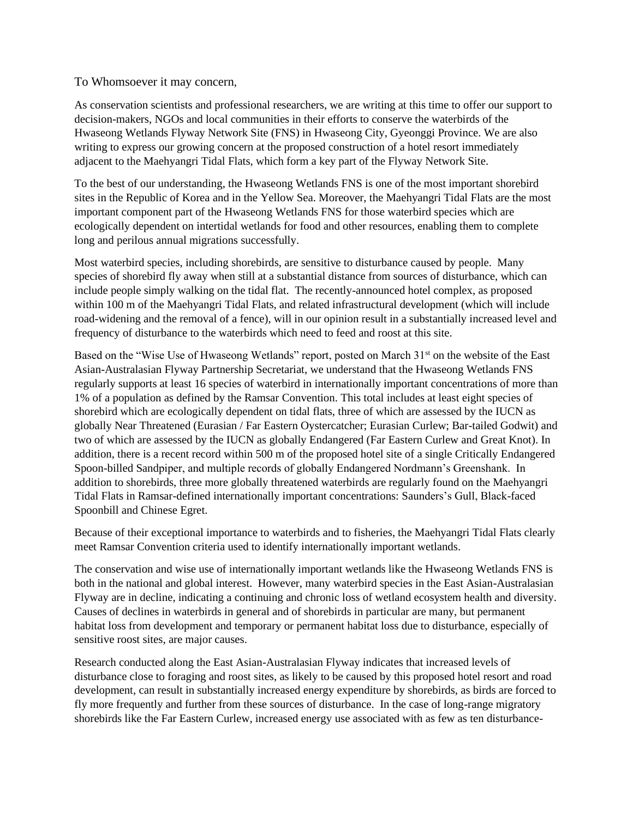## To Whomsoever it may concern,

As conservation scientists and professional researchers, we are writing at this time to offer our support to decision-makers, NGOs and local communities in their efforts to conserve the waterbirds of the Hwaseong Wetlands Flyway Network Site (FNS) in Hwaseong City, Gyeonggi Province. We are also writing to express our growing concern at the proposed construction of a hotel resort immediately adjacent to the Maehyangri Tidal Flats, which form a key part of the Flyway Network Site.

To the best of our understanding, the Hwaseong Wetlands FNS is one of the most important shorebird sites in the Republic of Korea and in the Yellow Sea. Moreover, the Maehyangri Tidal Flats are the most important component part of the Hwaseong Wetlands FNS for those waterbird species which are ecologically dependent on intertidal wetlands for food and other resources, enabling them to complete long and perilous annual migrations successfully.

Most waterbird species, including shorebirds, are sensitive to disturbance caused by people. Many species of shorebird fly away when still at a substantial distance from sources of disturbance, which can include people simply walking on the tidal flat. The recently-announced hotel complex, as proposed within 100 m of the Maehyangri Tidal Flats, and related infrastructural development (which will include road-widening and the removal of a fence), will in our opinion result in a substantially increased level and frequency of disturbance to the waterbirds which need to feed and roost at this site.

Based on the "Wise Use of Hwaseong Wetlands" report, posted on March 31<sup>st</sup> on the website of the East Asian-Australasian Flyway Partnership Secretariat, we understand that the Hwaseong Wetlands FNS regularly supports at least 16 species of waterbird in internationally important concentrations of more than 1% of a population as defined by the Ramsar Convention. This total includes at least eight species of shorebird which are ecologically dependent on tidal flats, three of which are assessed by the IUCN as globally Near Threatened (Eurasian / Far Eastern Oystercatcher; Eurasian Curlew; Bar-tailed Godwit) and two of which are assessed by the IUCN as globally Endangered (Far Eastern Curlew and Great Knot). In addition, there is a recent record within 500 m of the proposed hotel site of a single Critically Endangered Spoon-billed Sandpiper, and multiple records of globally Endangered Nordmann's Greenshank. In addition to shorebirds, three more globally threatened waterbirds are regularly found on the Maehyangri Tidal Flats in Ramsar-defined internationally important concentrations: Saunders's Gull, Black-faced Spoonbill and Chinese Egret.

Because of their exceptional importance to waterbirds and to fisheries, the Maehyangri Tidal Flats clearly meet Ramsar Convention criteria used to identify internationally important wetlands.

The conservation and wise use of internationally important wetlands like the Hwaseong Wetlands FNS is both in the national and global interest. However, many waterbird species in the East Asian-Australasian Flyway are in decline, indicating a continuing and chronic loss of wetland ecosystem health and diversity. Causes of declines in waterbirds in general and of shorebirds in particular are many, but permanent habitat loss from development and temporary or permanent habitat loss due to disturbance, especially of sensitive roost sites, are major causes.

Research conducted along the East Asian-Australasian Flyway indicates that increased levels of disturbance close to foraging and roost sites, as likely to be caused by this proposed hotel resort and road development, can result in substantially increased energy expenditure by shorebirds, as birds are forced to fly more frequently and further from these sources of disturbance. In the case of long-range migratory shorebirds like the Far Eastern Curlew, increased energy use associated with as few as ten disturbance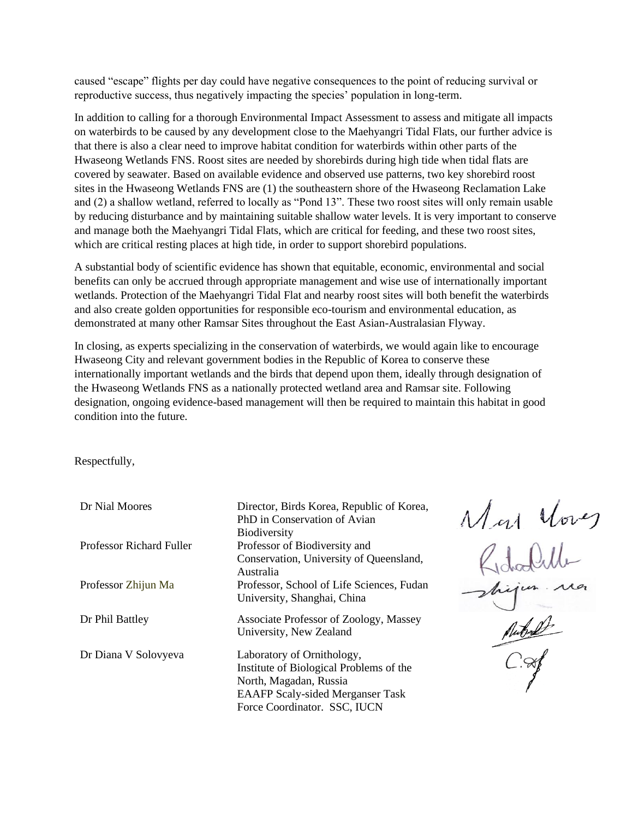caused "escape" flights per day could have negative consequences to the point of reducing survival or reproductive success, thus negatively impacting the species' population in long-term.

In addition to calling for a thorough Environmental Impact Assessment to assess and mitigate all impacts on waterbirds to be caused by any development close to the Maehyangri Tidal Flats, our further advice is that there is also a clear need to improve habitat condition for waterbirds within other parts of the Hwaseong Wetlands FNS. Roost sites are needed by shorebirds during high tide when tidal flats are covered by seawater. Based on available evidence and observed use patterns, two key shorebird roost sites in the Hwaseong Wetlands FNS are (1) the southeastern shore of the Hwaseong Reclamation Lake and (2) a shallow wetland, referred to locally as "Pond 13". These two roost sites will only remain usable by reducing disturbance and by maintaining suitable shallow water levels. It is very important to conserve and manage both the Maehyangri Tidal Flats, which are critical for feeding, and these two roost sites, which are critical resting places at high tide, in order to support shorebird populations.

A substantial body of scientific evidence has shown that equitable, economic, environmental and social benefits can only be accrued through appropriate management and wise use of internationally important wetlands. Protection of the Maehyangri Tidal Flat and nearby roost sites will both benefit the waterbirds and also create golden opportunities for responsible eco-tourism and environmental education, as demonstrated at many other Ramsar Sites throughout the East Asian-Australasian Flyway.

In closing, as experts specializing in the conservation of waterbirds, we would again like to encourage Hwaseong City and relevant government bodies in the Republic of Korea to conserve these internationally important wetlands and the birds that depend upon them, ideally through designation of the Hwaseong Wetlands FNS as a nationally protected wetland area and Ramsar site. Following designation, ongoing evidence-based management will then be required to maintain this habitat in good condition into the future.

Respectfully,

| Dr Nial Moores           | Director, Birds Korea, Republic of Korea, |  |
|--------------------------|-------------------------------------------|--|
|                          | PhD in Conservation of Avian              |  |
|                          | <b>Biodiversity</b>                       |  |
| Professor Richard Fuller | Professor of Biodiversity and             |  |
|                          | Conservation, University of Queensland,   |  |
|                          | Australia                                 |  |
| Professor Zhijun Ma      | Professor, School of Life Sciences, Fudan |  |
|                          | University, Shanghai, China               |  |
| Dr Phil Battley          | Associate Professor of Zoology, Massey    |  |
|                          | University, New Zealand                   |  |
| Dr Diana V Solovyeva     | Laboratory of Ornithology,                |  |
|                          | Institute of Biological Problems of the   |  |
|                          | North, Magadan, Russia                    |  |
|                          | <b>EAAFP Scaly-sided Merganser Task</b>   |  |
|                          | Force Coordinator. SSC, IUCN              |  |

 $M_{cl}$  Vores